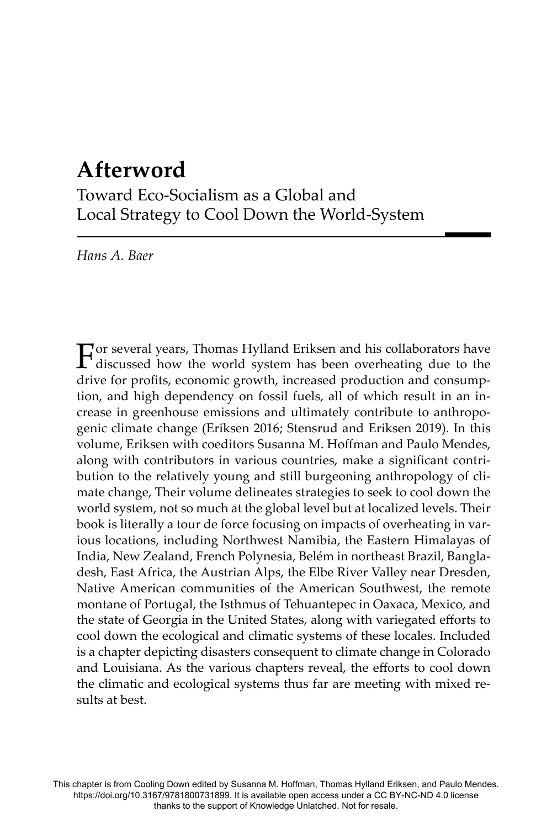# **Afterword**

Toward Eco-Socialism as a Global and Local Strategy to Cool Down the World-System

*Hans A. Baer*

For several years, Thomas Hylland Eriksen and his collaborators have discussed how the world system has been overheating due to the drive for profits, economic growth, increased production and consumption, and high dependency on fossil fuels, all of which result in an increase in greenhouse emissions and ultimately contribute to anthropogenic climate change (Eriksen 2016; Stensrud and Eriksen 2019). In this volume, Eriksen with coeditors Susanna M. Hoffman and Paulo Mendes, along with contributors in various countries, make a significant contribution to the relatively young and still burgeoning anthropology of climate change, Their volume delineates strategies to seek to cool down the world system, not so much at the global level but at localized levels. Their book is literally a tour de force focusing on impacts of overheating in various locations, including Northwest Namibia, the Eastern Himalayas of India, New Zealand, French Polynesia, Belém in northeast Brazil, Bangladesh, East Africa, the Austrian Alps, the Elbe River Valley near Dresden, Native American communities of the American Southwest, the remote montane of Portugal, the Isthmus of Tehuantepec in Oaxaca, Mexico, and the state of Georgia in the United States, along with variegated efforts to cool down the ecological and climatic systems of these locales. Included is a chapter depicting disasters consequent to climate change in Colorado and Louisiana. As the various chapters reveal, the efforts to cool down the climatic and ecological systems thus far are meeting with mixed results at best.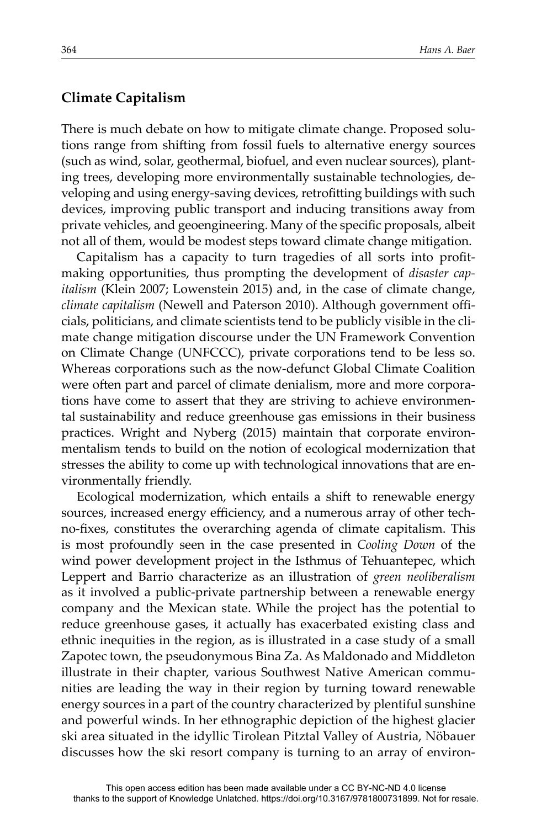#### **Climate Capitalism**

There is much debate on how to mitigate climate change. Proposed solutions range from shifting from fossil fuels to alternative energy sources (such as wind, solar, geothermal, biofuel, and even nuclear sources), planting trees, developing more environmentally sustainable technologies, developing and using energy-saving devices, retrofitting buildings with such devices, improving public transport and inducing transitions away from private vehicles, and geoengineering. Many of the specific proposals, albeit not all of them, would be modest steps toward climate change mitigation.

Capitalism has a capacity to turn tragedies of all sorts into profitmaking opportunities, thus prompting the development of *disaster capitalism* (Klein 2007; Lowenstein 2015) and, in the case of climate change, *climate capitalism* (Newell and Paterson 2010). Although government offi cials, politicians, and climate scientists tend to be publicly visible in the climate change mitigation discourse under the UN Framework Convention on Climate Change (UNFCCC), private corporations tend to be less so. Whereas corporations such as the now-defunct Global Climate Coalition were often part and parcel of climate denialism, more and more corporations have come to assert that they are striving to achieve environmental sustainability and reduce greenhouse gas emissions in their business practices. Wright and Nyberg (2015) maintain that corporate environmentalism tends to build on the notion of ecological modernization that stresses the ability to come up with technological innovations that are environmentally friendly.

Ecological modernization, which entails a shift to renewable energy sources, increased energy efficiency, and a numerous array of other techno-fixes, constitutes the overarching agenda of climate capitalism. This is most profoundly seen in the case presented in *Cooling Down* of the wind power development project in the Isthmus of Tehuantepec, which Leppert and Barrio characterize as an illustration of *green neoliberalism*  as it involved a public-private partnership between a renewable energy company and the Mexican state. While the project has the potential to reduce greenhouse gases, it actually has exacerbated existing class and ethnic inequities in the region, as is illustrated in a case study of a small Zapotec town, the pseudonymous Bina Za. As Maldonado and Middleton illustrate in their chapter, various Southwest Native American communities are leading the way in their region by turning toward renewable energy sources in a part of the country characterized by plentiful sunshine and powerful winds. In her ethnographic depiction of the highest glacier ski area situated in the idyllic Tirolean Pitztal Valley of Austria, Nöbauer discusses how the ski resort company is turning to an array of environ-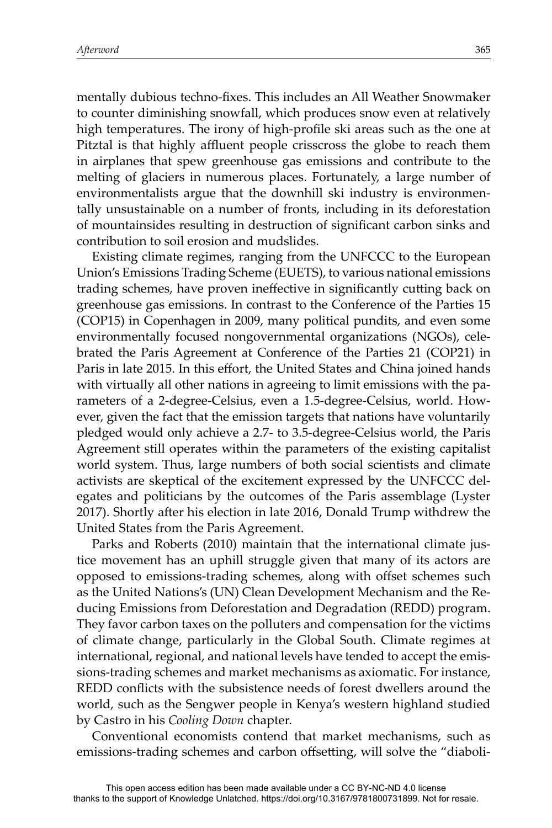mentally dubious techno-fixes. This includes an All Weather Snowmaker to counter diminishing snowfall, which produces snow even at relatively high temperatures. The irony of high-profile ski areas such as the one at Pitztal is that highly affluent people crisscross the globe to reach them in airplanes that spew greenhouse gas emissions and contribute to the melting of glaciers in numerous places. Fortunately, a large number of environmentalists argue that the downhill ski industry is environmentally unsustainable on a number of fronts, including in its deforestation of mountainsides resulting in destruction of significant carbon sinks and contribution to soil erosion and mudslides.

Existing climate regimes, ranging from the UNFCCC to the European Union's Emissions Trading Scheme (EUETS), to various national emissions trading schemes, have proven ineffective in significantly cutting back on greenhouse gas emissions. In contrast to the Conference of the Parties 15 (COP15) in Copenhagen in 2009, many political pundits, and even some environmentally focused nongovernmental organizations (NGOs), celebrated the Paris Agreement at Conference of the Parties 21 (COP21) in Paris in late 2015. In this effort, the United States and China joined hands with virtually all other nations in agreeing to limit emissions with the parameters of a 2-degree-Celsius, even a 1.5-degree-Celsius, world. However, given the fact that the emission targets that nations have voluntarily pledged would only achieve a 2.7- to 3.5-degree-Celsius world, the Paris Agreement still operates within the parameters of the existing capitalist world system. Thus, large numbers of both social scientists and climate activists are skeptical of the excitement expressed by the UNFCCC delegates and politicians by the outcomes of the Paris assemblage (Lyster 2017). Shortly after his election in late 2016, Donald Trump withdrew the United States from the Paris Agreement.

Parks and Roberts (2010) maintain that the international climate justice movement has an uphill struggle given that many of its actors are opposed to emissions-trading schemes, along with offset schemes such as the United Nations's (UN) Clean Development Mechanism and the Reducing Emissions from Deforestation and Degradation (REDD) program. They favor carbon taxes on the polluters and compensation for the victims of climate change, particularly in the Global South. Climate regimes at international, regional, and national levels have tended to accept the emissions-trading schemes and market mechanisms as axiomatic. For instance, REDD conflicts with the subsistence needs of forest dwellers around the world, such as the Sengwer people in Kenya's western highland studied by Castro in his *Cooling Down* chapter.

Conventional economists contend that market mechanisms, such as emissions-trading schemes and carbon offsetting, will solve the "diaboli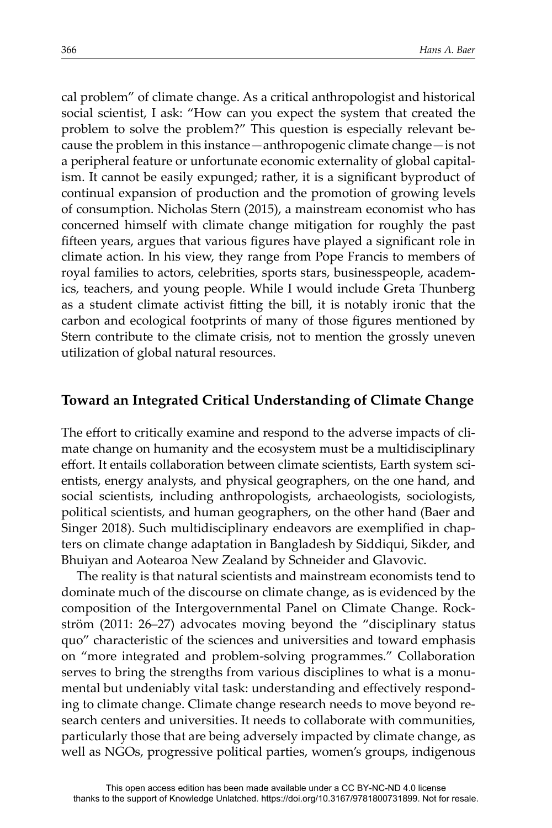cal problem" of climate change. As a critical anthropologist and historical social scientist, I ask: "How can you expect the system that created the problem to solve the problem?" This question is especially relevant because the problem in this instance—anthropogenic climate change—is not a peripheral feature or unfortunate economic externality of global capitalism. It cannot be easily expunged; rather, it is a significant byproduct of continual expansion of production and the promotion of growing levels of consumption. Nicholas Stern (2015), a mainstream economist who has concerned himself with climate change mitigation for roughly the past fifteen years, argues that various figures have played a significant role in climate action. In his view, they range from Pope Francis to members of royal families to actors, celebrities, sports stars, businesspeople, academics, teachers, and young people. While I would include Greta Thunberg as a student climate activist fitting the bill, it is notably ironic that the carbon and ecological footprints of many of those figures mentioned by Stern contribute to the climate crisis, not to mention the grossly uneven utilization of global natural resources.

# **Toward an Integrated Critical Understanding of Climate Change**

The effort to critically examine and respond to the adverse impacts of climate change on humanity and the ecosystem must be a multidisciplinary effort. It entails collaboration between climate scientists, Earth system scientists, energy analysts, and physical geographers, on the one hand, and social scientists, including anthropologists, archaeologists, sociologists, political scientists, and human geographers, on the other hand (Baer and Singer 2018). Such multidisciplinary endeavors are exemplified in chapters on climate change adaptation in Bangladesh by Siddiqui, Sikder, and Bhuiyan and Aotearoa New Zealand by Schneider and Glavovic.

The reality is that natural scientists and mainstream economists tend to dominate much of the discourse on climate change, as is evidenced by the composition of the Intergovernmental Panel on Climate Change. Rockström (2011: 26–27) advocates moving beyond the "disciplinary status quo" characteristic of the sciences and universities and toward emphasis on "more integrated and problem-solving programmes." Collaboration serves to bring the strengths from various disciplines to what is a monumental but undeniably vital task: understanding and effectively responding to climate change. Climate change research needs to move beyond research centers and universities. It needs to collaborate with communities, particularly those that are being adversely impacted by climate change, as well as NGOs, progressive political parties, women's groups, indigenous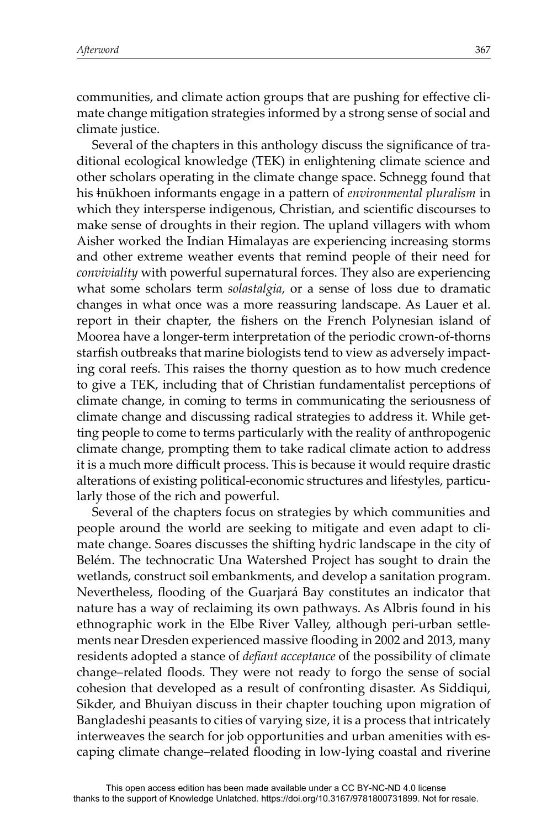communities, and climate action groups that are pushing for effective climate change mitigation strategies informed by a strong sense of social and climate justice.

Several of the chapters in this anthology discuss the significance of traditional ecological knowledge (TEK) in enlightening climate science and other scholars operating in the climate change space. Schnegg found that his <del>t</del>nūkhoen informants engage in a pattern of *environmental pluralism* in which they intersperse indigenous, Christian, and scientific discourses to make sense of droughts in their region. The upland villagers with whom Aisher worked the Indian Himalayas are experiencing increasing storms and other extreme weather events that remind people of their need for *conviviality* with powerful supernatural forces. They also are experiencing what some scholars term *solastalgia*, or a sense of loss due to dramatic changes in what once was a more reassuring landscape. As Lauer et al. report in their chapter, the fishers on the French Polynesian island of Moorea have a longer-term interpretation of the periodic crown-of-thorns starfish outbreaks that marine biologists tend to view as adversely impacting coral reefs. This raises the thorny question as to how much credence to give a TEK, including that of Christian fundamentalist perceptions of climate change, in coming to terms in communicating the seriousness of climate change and discussing radical strategies to address it. While getting people to come to terms particularly with the reality of anthropogenic climate change, prompting them to take radical climate action to address it is a much more difficult process. This is because it would require drastic alterations of existing political-economic structures and lifestyles, particularly those of the rich and powerful.

Several of the chapters focus on strategies by which communities and people around the world are seeking to mitigate and even adapt to climate change. Soares discusses the shifting hydric landscape in the city of Belém. The technocratic Una Watershed Project has sought to drain the wetlands, construct soil embankments, and develop a sanitation program. Nevertheless, flooding of the Guarjará Bay constitutes an indicator that nature has a way of reclaiming its own pathways. As Albris found in his ethnographic work in the Elbe River Valley, although peri-urban settlements near Dresden experienced massive flooding in 2002 and 2013, many residents adopted a stance of *defiant acceptance* of the possibility of climate change–related floods. They were not ready to forgo the sense of social cohesion that developed as a result of confronting disaster. As Siddiqui, Sikder, and Bhuiyan discuss in their chapter touching upon migration of Bangladeshi peasants to cities of varying size, it is a process that intricately interweaves the search for job opportunities and urban amenities with escaping climate change–related flooding in low-lying coastal and riverine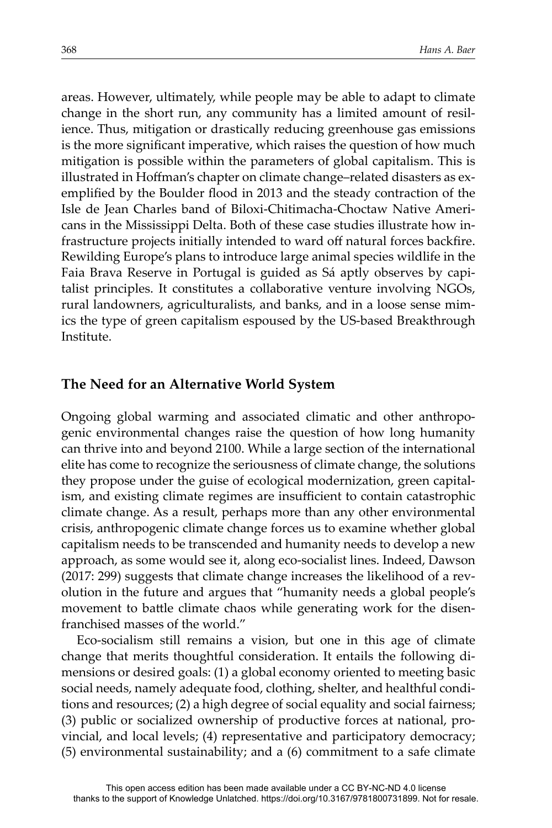areas. However, ultimately, while people may be able to adapt to climate change in the short run, any community has a limited amount of resilience. Thus, mitigation or drastically reducing greenhouse gas emissions is the more significant imperative, which raises the question of how much mitigation is possible within the parameters of global capitalism. This is illustrated in Hoffman's chapter on climate change–related disasters as exemplified by the Boulder flood in 2013 and the steady contraction of the Isle de Jean Charles band of Biloxi-Chitimacha-Choctaw Native Americans in the Mississippi Delta. Both of these case studies illustrate how infrastructure projects initially intended to ward off natural forces backfire. Rewilding Europe's plans to introduce large animal species wildlife in the Faia Brava Reserve in Portugal is guided as Sá aptly observes by capitalist principles. It constitutes a collaborative venture involving NGOs, rural landowners, agriculturalists, and banks, and in a loose sense mimics the type of green capitalism espoused by the US-based Breakthrough Institute.

#### **The Need for an Alternative World System**

Ongoing global warming and associated climatic and other anthropogenic environmental changes raise the question of how long humanity can thrive into and beyond 2100. While a large section of the international elite has come to recognize the seriousness of climate change, the solutions they propose under the guise of ecological modernization, green capitalism, and existing climate regimes are insufficient to contain catastrophic climate change. As a result, perhaps more than any other environmental crisis, anthropogenic climate change forces us to examine whether global capitalism needs to be transcended and humanity needs to develop a new approach, as some would see it, along eco-socialist lines. Indeed, Dawson (2017: 299) suggests that climate change increases the likelihood of a revolution in the future and argues that "humanity needs a global people's movement to battle climate chaos while generating work for the disenfranchised masses of the world."

Eco-socialism still remains a vision, but one in this age of climate change that merits thoughtful consideration. It entails the following dimensions or desired goals: (1) a global economy oriented to meeting basic social needs, namely adequate food, clothing, shelter, and healthful conditions and resources; (2) a high degree of social equality and social fairness; (3) public or socialized ownership of productive forces at national, provincial, and local levels; (4) representative and participatory democracy; (5) environmental sustainability; and a (6) commitment to a safe climate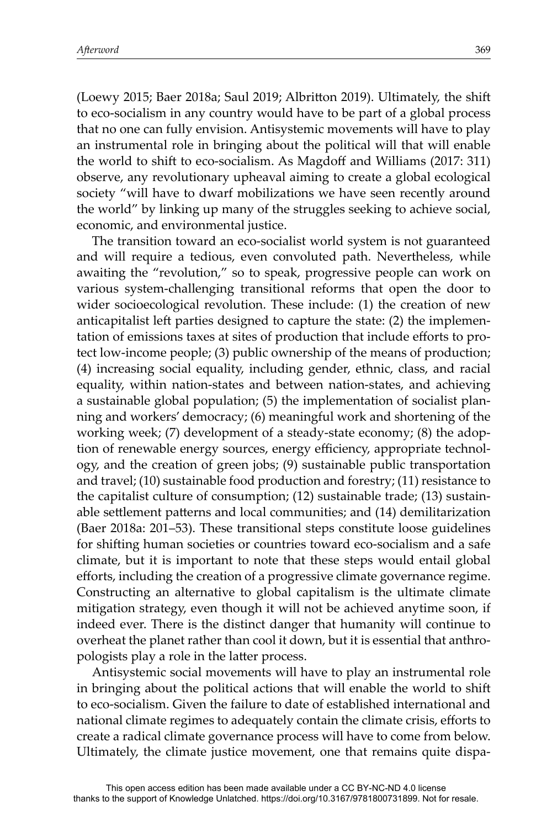(Loewy 2015; Baer 2018a; Saul 2019; Albritton 2019). Ultimately, the shift to eco-socialism in any country would have to be part of a global process that no one can fully envision. Antisystemic movements will have to play an instrumental role in bringing about the political will that will enable the world to shift to eco-socialism. As Magdoff and Williams (2017: 311) observe, any revolutionary upheaval aiming to create a global ecological society "will have to dwarf mobilizations we have seen recently around the world" by linking up many of the struggles seeking to achieve social, economic, and environmental justice.

The transition toward an eco-socialist world system is not guaranteed and will require a tedious, even convoluted path. Nevertheless, while awaiting the "revolution," so to speak, progressive people can work on various system-challenging transitional reforms that open the door to wider socioecological revolution. These include: (1) the creation of new anticapitalist left parties designed to capture the state: (2) the implementation of emissions taxes at sites of production that include efforts to protect low-income people; (3) public ownership of the means of production; (4) increasing social equality, including gender, ethnic, class, and racial equality, within nation-states and between nation-states, and achieving a sustainable global population; (5) the implementation of socialist planning and workers' democracy; (6) meaningful work and shortening of the working week; (7) development of a steady-state economy; (8) the adoption of renewable energy sources, energy efficiency, appropriate technology, and the creation of green jobs; (9) sustainable public transportation and travel; (10) sustainable food production and forestry; (11) resistance to the capitalist culture of consumption; (12) sustainable trade; (13) sustainable settlement patterns and local communities; and (14) demilitarization (Baer 2018a: 201–53). These transitional steps constitute loose guidelines for shifting human societies or countries toward eco-socialism and a safe climate, but it is important to note that these steps would entail global efforts, including the creation of a progressive climate governance regime. Constructing an alternative to global capitalism is the ultimate climate mitigation strategy, even though it will not be achieved anytime soon, if indeed ever. There is the distinct danger that humanity will continue to overheat the planet rather than cool it down, but it is essential that anthropologists play a role in the latter process.

Antisystemic social movements will have to play an instrumental role in bringing about the political actions that will enable the world to shift to eco-socialism. Given the failure to date of established international and national climate regimes to adequately contain the climate crisis, efforts to create a radical climate governance process will have to come from below. Ultimately, the climate justice movement, one that remains quite dispa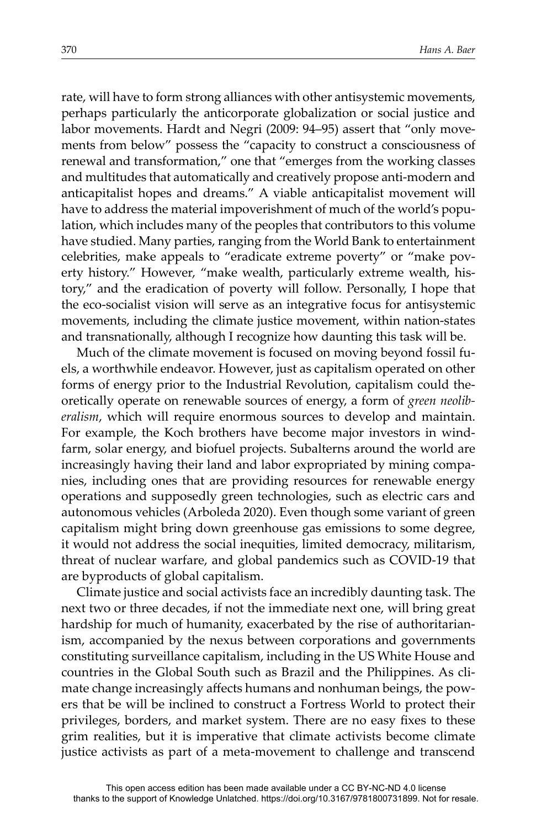rate, will have to form strong alliances with other antisystemic movements, perhaps particularly the anticorporate globalization or social justice and labor movements. Hardt and Negri (2009: 94–95) assert that "only movements from below" possess the "capacity to construct a consciousness of renewal and transformation," one that "emerges from the working classes and multitudes that automatically and creatively propose anti-modern and anticapitalist hopes and dreams." A viable anticapitalist movement will have to address the material impoverishment of much of the world's population, which includes many of the peoples that contributors to this volume have studied. Many parties, ranging from the World Bank to entertainment celebrities, make appeals to "eradicate extreme poverty" or "make poverty history." However, "make wealth, particularly extreme wealth, history," and the eradication of poverty will follow. Personally, I hope that the eco-socialist vision will serve as an integrative focus for antisystemic movements, including the climate justice movement, within nation-states and transnationally, although I recognize how daunting this task will be.

Much of the climate movement is focused on moving beyond fossil fuels, a worthwhile endeavor. However, just as capitalism operated on other forms of energy prior to the Industrial Revolution, capitalism could theoretically operate on renewable sources of energy, a form of *green neoliberalism*, which will require enormous sources to develop and maintain. For example, the Koch brothers have become major investors in windfarm, solar energy, and biofuel projects. Subalterns around the world are increasingly having their land and labor expropriated by mining companies, including ones that are providing resources for renewable energy operations and supposedly green technologies, such as electric cars and autonomous vehicles (Arboleda 2020). Even though some variant of green capitalism might bring down greenhouse gas emissions to some degree, it would not address the social inequities, limited democracy, militarism, threat of nuclear warfare, and global pandemics such as COVID-19 that are byproducts of global capitalism.

Climate justice and social activists face an incredibly daunting task. The next two or three decades, if not the immediate next one, will bring great hardship for much of humanity, exacerbated by the rise of authoritarianism, accompanied by the nexus between corporations and governments constituting surveillance capitalism, including in the US White House and countries in the Global South such as Brazil and the Philippines. As climate change increasingly affects humans and nonhuman beings, the powers that be will be inclined to construct a Fortress World to protect their privileges, borders, and market system. There are no easy fixes to these grim realities, but it is imperative that climate activists become climate justice activists as part of a meta-movement to challenge and transcend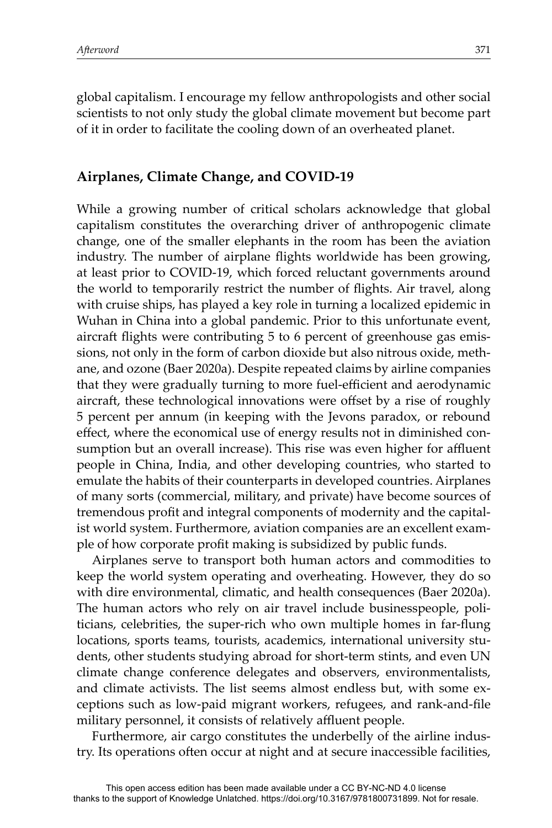global capitalism. I encourage my fellow anthropologists and other social scientists to not only study the global climate movement but become part of it in order to facilitate the cooling down of an overheated planet.

# **Airplanes, Climate Change, and COVID-19**

While a growing number of critical scholars acknowledge that global capitalism constitutes the overarching driver of anthropogenic climate change, one of the smaller elephants in the room has been the aviation industry. The number of airplane flights worldwide has been growing, at least prior to COVID-19, which forced reluctant governments around the world to temporarily restrict the number of flights. Air travel, along with cruise ships, has played a key role in turning a localized epidemic in Wuhan in China into a global pandemic. Prior to this unfortunate event, aircraft flights were contributing 5 to 6 percent of greenhouse gas emissions, not only in the form of carbon dioxide but also nitrous oxide, methane, and ozone (Baer 2020a). Despite repeated claims by airline companies that they were gradually turning to more fuel-efficient and aerodynamic aircraft, these technological innovations were offset by a rise of roughly 5 percent per annum (in keeping with the Jevons paradox, or rebound effect, where the economical use of energy results not in diminished consumption but an overall increase). This rise was even higher for affluent people in China, India, and other developing countries, who started to emulate the habits of their counterparts in developed countries. Airplanes of many sorts (commercial, military, and private) have become sources of tremendous profit and integral components of modernity and the capitalist world system. Furthermore, aviation companies are an excellent example of how corporate profit making is subsidized by public funds.

Airplanes serve to transport both human actors and commodities to keep the world system operating and overheating. However, they do so with dire environmental, climatic, and health consequences (Baer 2020a). The human actors who rely on air travel include businesspeople, politicians, celebrities, the super-rich who own multiple homes in far-flung locations, sports teams, tourists, academics, international university students, other students studying abroad for short-term stints, and even UN climate change conference delegates and observers, environmentalists, and climate activists. The list seems almost endless but, with some exceptions such as low-paid migrant workers, refugees, and rank-and-file military personnel, it consists of relatively affluent people.

Furthermore, air cargo constitutes the underbelly of the airline industry. Its operations often occur at night and at secure inaccessible facilities,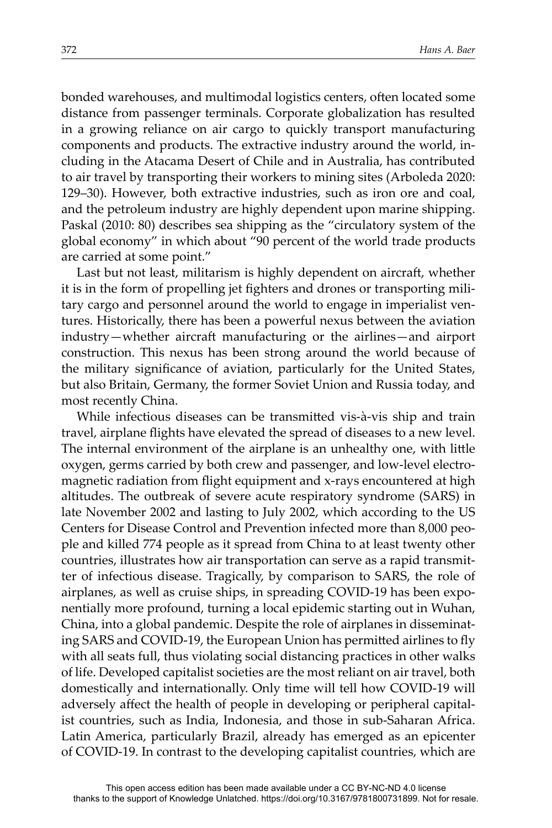bonded warehouses, and multimodal logistics centers, often located some distance from passenger terminals. Corporate globalization has resulted in a growing reliance on air cargo to quickly transport manufacturing components and products. The extractive industry around the world, including in the Atacama Desert of Chile and in Australia, has contributed to air travel by transporting their workers to mining sites (Arboleda 2020: 129–30). However, both extractive industries, such as iron ore and coal, and the petroleum industry are highly dependent upon marine shipping. Paskal (2010: 80) describes sea shipping as the "circulatory system of the global economy" in which about "90 percent of the world trade products are carried at some point."

Last but not least, militarism is highly dependent on aircraft, whether it is in the form of propelling jet fighters and drones or transporting military cargo and personnel around the world to engage in imperialist ventures. Historically, there has been a powerful nexus between the aviation industry—whether aircraft manufacturing or the airlines—and airport construction. This nexus has been strong around the world because of the military significance of aviation, particularly for the United States, but also Britain, Germany, the former Soviet Union and Russia today, and most recently China.

While infectious diseases can be transmitted vis-à-vis ship and train travel, airplane flights have elevated the spread of diseases to a new level. The internal environment of the airplane is an unhealthy one, with little oxygen, germs carried by both crew and passenger, and low-level electromagnetic radiation from flight equipment and x-rays encountered at high altitudes. The outbreak of severe acute respiratory syndrome (SARS) in late November 2002 and lasting to July 2002, which according to the US Centers for Disease Control and Prevention infected more than 8,000 people and killed 774 people as it spread from China to at least twenty other countries, illustrates how air transportation can serve as a rapid transmitter of infectious disease. Tragically, by comparison to SARS, the role of airplanes, as well as cruise ships, in spreading COVID-19 has been exponentially more profound, turning a local epidemic starting out in Wuhan, China, into a global pandemic. Despite the role of airplanes in disseminating SARS and COVID-19, the European Union has permitted airlines to fly with all seats full, thus violating social distancing practices in other walks of life. Developed capitalist societies are the most reliant on air travel, both domestically and internationally. Only time will tell how COVID-19 will adversely affect the health of people in developing or peripheral capitalist countries, such as India, Indonesia, and those in sub-Saharan Africa. Latin America, particularly Brazil, already has emerged as an epicenter of COVID-19. In contrast to the developing capitalist countries, which are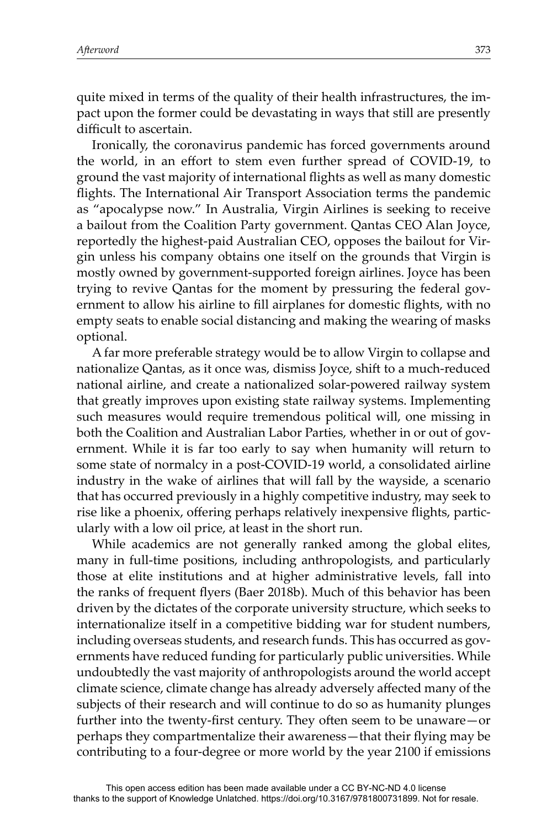quite mixed in terms of the quality of their health infrastructures, the impact upon the former could be devastating in ways that still are presently difficult to ascertain.

Ironically, the coronavirus pandemic has forced governments around the world, in an effort to stem even further spread of COVID-19, to ground the vast majority of international flights as well as many domestic flights. The International Air Transport Association terms the pandemic as "apocalypse now." In Australia, Virgin Airlines is seeking to receive a bailout from the Coalition Party government. Qantas CEO Alan Joyce, reportedly the highest-paid Australian CEO, opposes the bailout for Virgin unless his company obtains one itself on the grounds that Virgin is mostly owned by government-supported foreign airlines. Joyce has been trying to revive Qantas for the moment by pressuring the federal government to allow his airline to fill airplanes for domestic flights, with no empty seats to enable social distancing and making the wearing of masks optional.

A far more preferable strategy would be to allow Virgin to collapse and nationalize Qantas, as it once was, dismiss Joyce, shift to a much-reduced national airline, and create a nationalized solar-powered railway system that greatly improves upon existing state railway systems. Implementing such measures would require tremendous political will, one missing in both the Coalition and Australian Labor Parties, whether in or out of government. While it is far too early to say when humanity will return to some state of normalcy in a post-COVID-19 world, a consolidated airline industry in the wake of airlines that will fall by the wayside, a scenario that has occurred previously in a highly competitive industry, may seek to rise like a phoenix, offering perhaps relatively inexpensive flights, particularly with a low oil price, at least in the short run.

While academics are not generally ranked among the global elites, many in full-time positions, including anthropologists, and particularly those at elite institutions and at higher administrative levels, fall into the ranks of frequent flyers (Baer 2018b). Much of this behavior has been driven by the dictates of the corporate university structure, which seeks to internationalize itself in a competitive bidding war for student numbers, including overseas students, and research funds. This has occurred as governments have reduced funding for particularly public universities. While undoubtedly the vast majority of anthropologists around the world accept climate science, climate change has already adversely affected many of the subjects of their research and will continue to do so as humanity plunges further into the twenty-first century. They often seem to be unaware—or perhaps they compartmentalize their awareness—that their flying may be contributing to a four-degree or more world by the year 2100 if emissions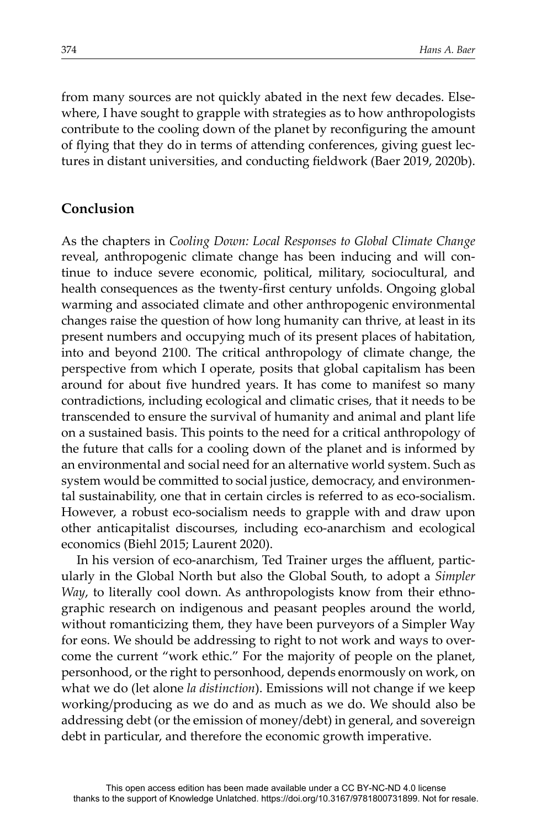from many sources are not quickly abated in the next few decades. Elsewhere, I have sought to grapple with strategies as to how anthropologists contribute to the cooling down of the planet by reconfiguring the amount of flying that they do in terms of attending conferences, giving guest lectures in distant universities, and conducting fieldwork (Baer 2019, 2020b).

# **Conclusion**

As the chapters in *Cooling Down: Local Responses to Global Climate Change* reveal, anthropogenic climate change has been inducing and will continue to induce severe economic, political, military, sociocultural, and health consequences as the twenty-first century unfolds. Ongoing global warming and associated climate and other anthropogenic environmental changes raise the question of how long humanity can thrive, at least in its present numbers and occupying much of its present places of habitation, into and beyond 2100. The critical anthropology of climate change, the perspective from which I operate, posits that global capitalism has been around for about five hundred years. It has come to manifest so many contradictions, including ecological and climatic crises, that it needs to be transcended to ensure the survival of humanity and animal and plant life on a sustained basis. This points to the need for a critical anthropology of the future that calls for a cooling down of the planet and is informed by an environmental and social need for an alternative world system. Such as system would be committed to social justice, democracy, and environmental sustainability, one that in certain circles is referred to as eco-socialism. However, a robust eco-socialism needs to grapple with and draw upon other anticapitalist discourses, including eco-anarchism and ecological economics (Biehl 2015; Laurent 2020).

In his version of eco-anarchism, Ted Trainer urges the affluent, particularly in the Global North but also the Global South, to adopt a *Simpler Way*, to literally cool down. As anthropologists know from their ethnographic research on indigenous and peasant peoples around the world, without romanticizing them, they have been purveyors of a Simpler Way for eons. We should be addressing to right to not work and ways to overcome the current "work ethic." For the majority of people on the planet, personhood, or the right to personhood, depends enormously on work, on what we do (let alone *la distinction*). Emissions will not change if we keep working/producing as we do and as much as we do. We should also be addressing debt (or the emission of money/debt) in general, and sovereign debt in particular, and therefore the economic growth imperative.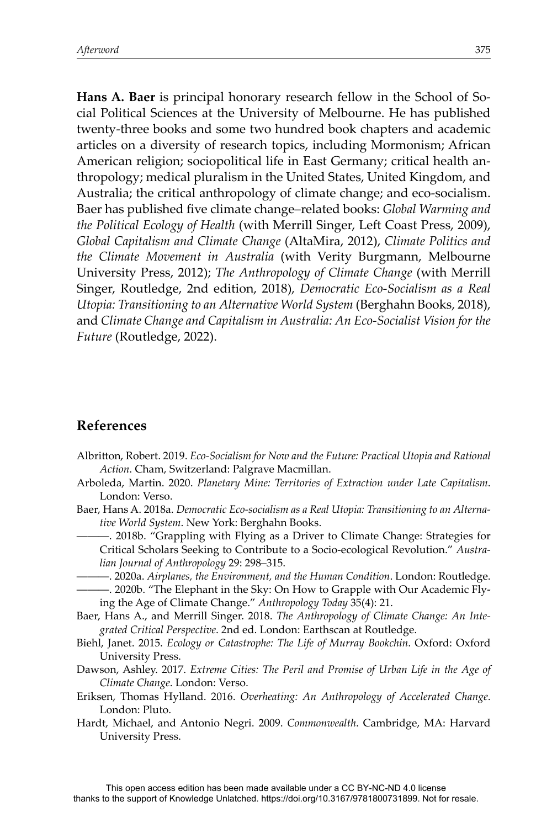**Hans A. Baer** is principal honorary research fellow in the School of Social Political Sciences at the University of Melbourne. He has published twenty-three books and some two hundred book chapters and academic articles on a diversity of research topics, including Mormonism; African American religion; sociopolitical life in East Germany; critical health anthropology; medical pluralism in the United States, United Kingdom, and Australia; the critical anthropology of climate change; and eco-socialism. Baer has published five climate change–related books: *Global Warming and the Political Ecology of Health* (with Merrill Singer, LeĞ Coast Press, 2009), *Global Capitalism and Climate Change* (AltaMira, 2012), *Climate Politics and the Climate Movement in Australia* (with Verity Burgmann, Melbourne University Press, 2012); *The Anthropology of Climate Change* (with Merrill Singer, Routledge, 2nd edition, 2018), *Democratic Eco-Socialism as a Real Utopia: Transitioning to an Alternative World System* (Berghahn Books, 2018), and *Climate Change and Capitalism in Australia: An Eco-Socialist Vision for the Future* (Routledge, 2022).

# **References**

- Albritton, Robert. 2019. *Eco-Socialism for Now and the Future: Practical Utopia and Rational Action*. Cham, Switzerland: Palgrave Macmillan.
- Arboleda, Martin. 2020. *Planetary Mine: Territories of Extraction under Late Capitalism*. London: Verso.
- Baer, Hans A. 2018a. *Democratic Eco-socialism as a Real Utopia: Transitioning to an Alternative World System*. New York: Berghahn Books.
	- ———. 2018b. "Grappling with Flying as a Driver to Climate Change: Strategies for Critical Scholars Seeking to Contribute to a Socio-ecological Revolution." *Australian Journal of Anthropology* 29: 298–315.
- ———. 2020a. *Airplanes, the Environment, and the Human Condition*. London: Routledge. ———. 2020b. "The Elephant in the Sky: On How to Grapple with Our Academic Flying the Age of Climate Change." *Anthropology Today* 35(4): 21.
- Baer, Hans A., and Merrill Singer. 2018. *The Anthropology of Climate Change: An Integrated Critical Perspective*. 2nd ed. London: Earthscan at Routledge.
- Biehl, Janet. 2015. *Ecology or Catastrophe: The Life of Murray Bookchin*. Oxford: Oxford University Press.
- Dawson, Ashley. 2017. *Extreme Cities: The Peril and Promise of Urban Life in the Age of Climate Change*. London: Verso.
- Eriksen, Thomas Hylland. 2016. *Overheating: An Anthropology of Accelerated Change*. London: Pluto.
- Hardt, Michael, and Antonio Negri. 2009. *Commonwealth*. Cambridge, MA: Harvard University Press.